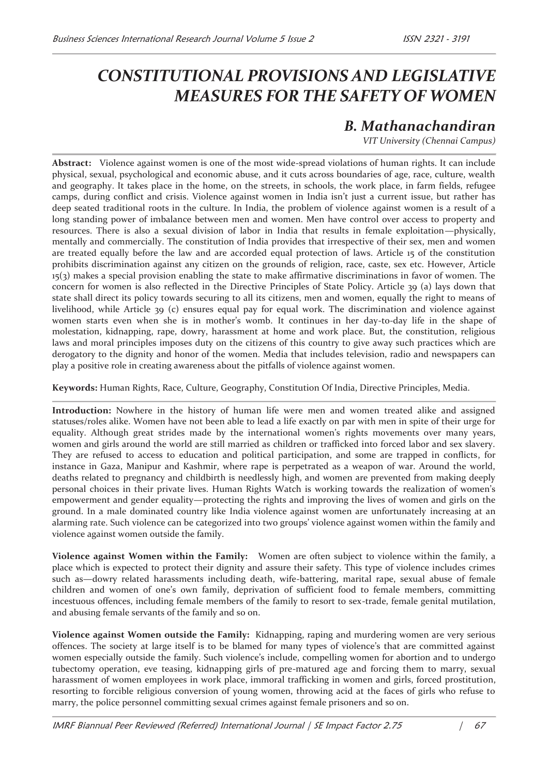## *CONSTITUTIONAL PROVISIONS AND LEGISLATIVE MEASURES FOR THE SAFETY OF WOMEN*

## *B. Mathanachandiran*

 *VIT University (Chennai Campus)* 

**Abstract:** Violence against women is one of the most wide-spread violations of human rights. It can include physical, sexual, psychological and economic abuse, and it cuts across boundaries of age, race, culture, wealth and geography. It takes place in the home, on the streets, in schools, the work place, in farm fields, refugee camps, during conflict and crisis. Violence against women in India isn't just a current issue, but rather has deep seated traditional roots in the culture. In India, the problem of violence against women is a result of a long standing power of imbalance between men and women. Men have control over access to property and resources. There is also a sexual division of labor in India that results in female exploitation—physically, mentally and commercially. The constitution of India provides that irrespective of their sex, men and women are treated equally before the law and are accorded equal protection of laws. Article 15 of the constitution prohibits discrimination against any citizen on the grounds of religion, race, caste, sex etc. However, Article 15(3) makes a special provision enabling the state to make affirmative discriminations in favor of women. The concern for women is also reflected in the Directive Principles of State Policy. Article 39 (a) lays down that state shall direct its policy towards securing to all its citizens, men and women, equally the right to means of livelihood, while Article 39 (c) ensures equal pay for equal work. The discrimination and violence against women starts even when she is in mother's womb. It continues in her day-to-day life in the shape of molestation, kidnapping, rape, dowry, harassment at home and work place. But, the constitution, religious laws and moral principles imposes duty on the citizens of this country to give away such practices which are derogatory to the dignity and honor of the women. Media that includes television, radio and newspapers can play a positive role in creating awareness about the pitfalls of violence against women.

**Keywords:** Human Rights, Race, Culture, Geography, Constitution Of India, Directive Principles, Media.

**Introduction:** Nowhere in the history of human life were men and women treated alike and assigned statuses/roles alike. Women have not been able to lead a life exactly on par with men in spite of their urge for equality. Although great strides made by the international women's rights movements over many years, women and girls around the world are still married as children or trafficked into forced labor and sex slavery. They are refused to access to education and political participation, and some are trapped in conflicts, for instance in Gaza, Manipur and Kashmir, where rape is perpetrated as a weapon of war. Around the world, deaths related to pregnancy and childbirth is needlessly high, and women are prevented from making deeply personal choices in their private lives. Human Rights Watch is working towards the realization of women's empowerment and gender equality—protecting the rights and improving the lives of women and girls on the ground. In a male dominated country like India violence against women are unfortunately increasing at an alarming rate. Such violence can be categorized into two groups' violence against women within the family and violence against women outside the family.

**Violence against Women within the Family:** Women are often subject to violence within the family, a place which is expected to protect their dignity and assure their safety. This type of violence includes crimes such as—dowry related harassments including death, wife-battering, marital rape, sexual abuse of female children and women of one's own family, deprivation of sufficient food to female members, committing incestuous offences, including female members of the family to resort to sex-trade, female genital mutilation, and abusing female servants of the family and so on.

**Violence against Women outside the Family:** Kidnapping, raping and murdering women are very serious offences. The society at large itself is to be blamed for many types of violence's that are committed against women especially outside the family. Such violence's include, compelling women for abortion and to undergo tubectomy operation, eve teasing, kidnapping girls of pre-matured age and forcing them to marry, sexual harassment of women employees in work place, immoral trafficking in women and girls, forced prostitution, resorting to forcible religious conversion of young women, throwing acid at the faces of girls who refuse to marry, the police personnel committing sexual crimes against female prisoners and so on.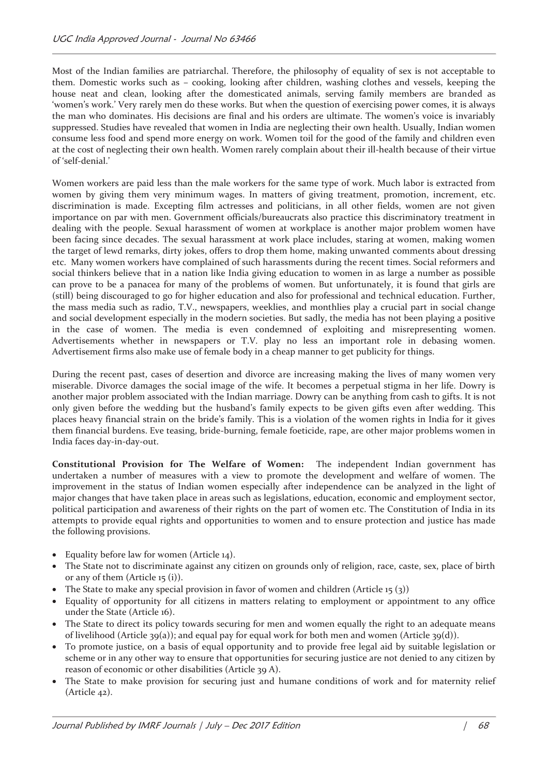Most of the Indian families are patriarchal. Therefore, the philosophy of equality of sex is not acceptable to them. Domestic works such as – cooking, looking after children, washing clothes and vessels, keeping the house neat and clean, looking after the domesticated animals, serving family members are branded as 'women's work.' Very rarely men do these works. But when the question of exercising power comes, it is always the man who dominates. His decisions are final and his orders are ultimate. The women's voice is invariably suppressed. Studies have revealed that women in India are neglecting their own health. Usually, Indian women consume less food and spend more energy on work. Women toil for the good of the family and children even at the cost of neglecting their own health. Women rarely complain about their ill-health because of their virtue of 'self-denial.'

Women workers are paid less than the male workers for the same type of work. Much labor is extracted from women by giving them very minimum wages. In matters of giving treatment, promotion, increment, etc. discrimination is made. Excepting film actresses and politicians, in all other fields, women are not given importance on par with men. Government officials/bureaucrats also practice this discriminatory treatment in dealing with the people. Sexual harassment of women at workplace is another major problem women have been facing since decades. The sexual harassment at work place includes, staring at women, making women the target of lewd remarks, dirty jokes, offers to drop them home, making unwanted comments about dressing etc. Many women workers have complained of such harassments during the recent times. Social reformers and social thinkers believe that in a nation like India giving education to women in as large a number as possible can prove to be a panacea for many of the problems of women. But unfortunately, it is found that girls are (still) being discouraged to go for higher education and also for professional and technical education. Further, the mass media such as radio, T.V., newspapers, weeklies, and monthlies play a crucial part in social change and social development especially in the modern societies. But sadly, the media has not been playing a positive in the case of women. The media is even condemned of exploiting and misrepresenting women. Advertisements whether in newspapers or T.V. play no less an important role in debasing women. Advertisement firms also make use of female body in a cheap manner to get publicity for things.

During the recent past, cases of desertion and divorce are increasing making the lives of many women very miserable. Divorce damages the social image of the wife. It becomes a perpetual stigma in her life. Dowry is another major problem associated with the Indian marriage. Dowry can be anything from cash to gifts. It is not only given before the wedding but the husband's family expects to be given gifts even after wedding. This places heavy financial strain on the bride's family. This is a violation of the women rights in India for it gives them financial burdens. Eve teasing, bride-burning, female foeticide, rape, are other major problems women in India faces day-in-day-out.

**Constitutional Provision for The Welfare of Women:** The independent Indian government has undertaken a number of measures with a view to promote the development and welfare of women. The improvement in the status of Indian women especially after independence can be analyzed in the light of major changes that have taken place in areas such as legislations, education, economic and employment sector, political participation and awareness of their rights on the part of women etc. The Constitution of India in its attempts to provide equal rights and opportunities to women and to ensure protection and justice has made the following provisions.

- Equality before law for women (Article 14).
- · The State not to discriminate against any citizen on grounds only of religion, race, caste, sex, place of birth or any of them (Article 15 (i)).
- The State to make any special provision in favor of women and children (Article 15 $(3)$ )
- · Equality of opportunity for all citizens in matters relating to employment or appointment to any office under the State (Article 16).
- · The State to direct its policy towards securing for men and women equally the right to an adequate means of livelihood (Article 39(a)); and equal pay for equal work for both men and women (Article 39(d)).
- · To promote justice, on a basis of equal opportunity and to provide free legal aid by suitable legislation or scheme or in any other way to ensure that opportunities for securing justice are not denied to any citizen by reason of economic or other disabilities (Article 39 A).
- · The State to make provision for securing just and humane conditions of work and for maternity relief (Article 42).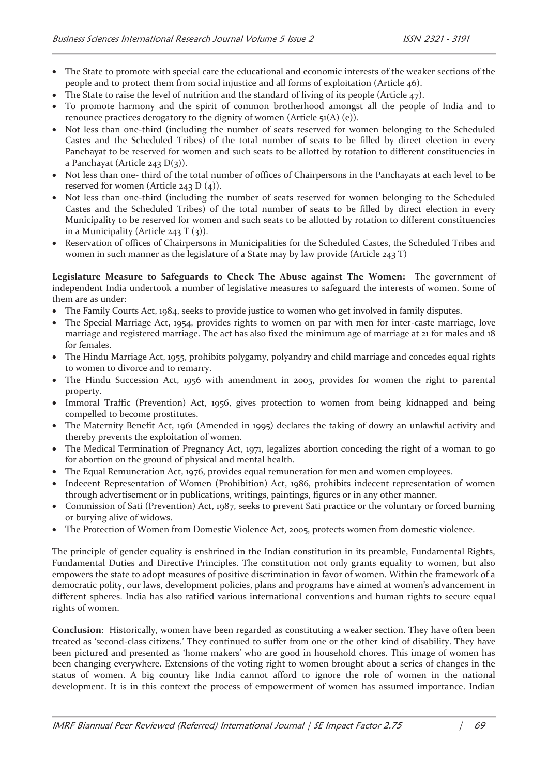- · The State to promote with special care the educational and economic interests of the weaker sections of the people and to protect them from social injustice and all forms of exploitation (Article 46).
- The State to raise the level of nutrition and the standard of living of its people (Article 47).
- · To promote harmony and the spirit of common brotherhood amongst all the people of India and to renounce practices derogatory to the dignity of women (Article 51(A) (e)).
- · Not less than one-third (including the number of seats reserved for women belonging to the Scheduled Castes and the Scheduled Tribes) of the total number of seats to be filled by direct election in every Panchayat to be reserved for women and such seats to be allotted by rotation to different constituencies in a Panchayat (Article 243  $D(3)$ ).
- · Not less than one- third of the total number of offices of Chairpersons in the Panchayats at each level to be reserved for women (Article 243 D (4)).
- · Not less than one-third (including the number of seats reserved for women belonging to the Scheduled Castes and the Scheduled Tribes) of the total number of seats to be filled by direct election in every Municipality to be reserved for women and such seats to be allotted by rotation to different constituencies in a Municipality (Article 243 T  $(3)$ ).
- Reservation of offices of Chairpersons in Municipalities for the Scheduled Castes, the Scheduled Tribes and women in such manner as the legislature of a State may by law provide (Article 243 T)

**Legislature Measure to Safeguards to Check The Abuse against The Women:** The government of independent India undertook a number of legislative measures to safeguard the interests of women. Some of them are as under:

- · The Family Courts Act, 1984, seeks to provide justice to women who get involved in family disputes.
- The Special Marriage Act, 1954, provides rights to women on par with men for inter-caste marriage, love marriage and registered marriage. The act has also fixed the minimum age of marriage at 21 for males and 18 for females.
- · The Hindu Marriage Act, 1955, prohibits polygamy, polyandry and child marriage and concedes equal rights to women to divorce and to remarry.
- · The Hindu Succession Act, 1956 with amendment in 2005, provides for women the right to parental property.
- · Immoral Traffic (Prevention) Act, 1956, gives protection to women from being kidnapped and being compelled to become prostitutes.
- The Maternity Benefit Act, 1961 (Amended in 1995) declares the taking of dowry an unlawful activity and thereby prevents the exploitation of women.
- The Medical Termination of Pregnancy Act, 1971, legalizes abortion conceding the right of a woman to go for abortion on the ground of physical and mental health.
- · The Equal Remuneration Act, 1976, provides equal remuneration for men and women employees.
- · Indecent Representation of Women (Prohibition) Act, 1986, prohibits indecent representation of women through advertisement or in publications, writings, paintings, figures or in any other manner.
- · Commission of Sati (Prevention) Act, 1987, seeks to prevent Sati practice or the voluntary or forced burning or burying alive of widows.
- · The Protection of Women from Domestic Violence Act, 2005, protects women from domestic violence.

The principle of gender equality is enshrined in the Indian constitution in its preamble, Fundamental Rights, Fundamental Duties and Directive Principles. The constitution not only grants equality to women, but also empowers the state to adopt measures of positive discrimination in favor of women. Within the framework of a democratic polity, our laws, development policies, plans and programs have aimed at women's advancement in different spheres. India has also ratified various international conventions and human rights to secure equal rights of women.

**Conclusion**: Historically, women have been regarded as constituting a weaker section. They have often been treated as 'second-class citizens.' They continued to suffer from one or the other kind of disability. They have been pictured and presented as 'home makers' who are good in household chores. This image of women has been changing everywhere. Extensions of the voting right to women brought about a series of changes in the status of women. A big country like India cannot afford to ignore the role of women in the national development. It is in this context the process of empowerment of women has assumed importance. Indian